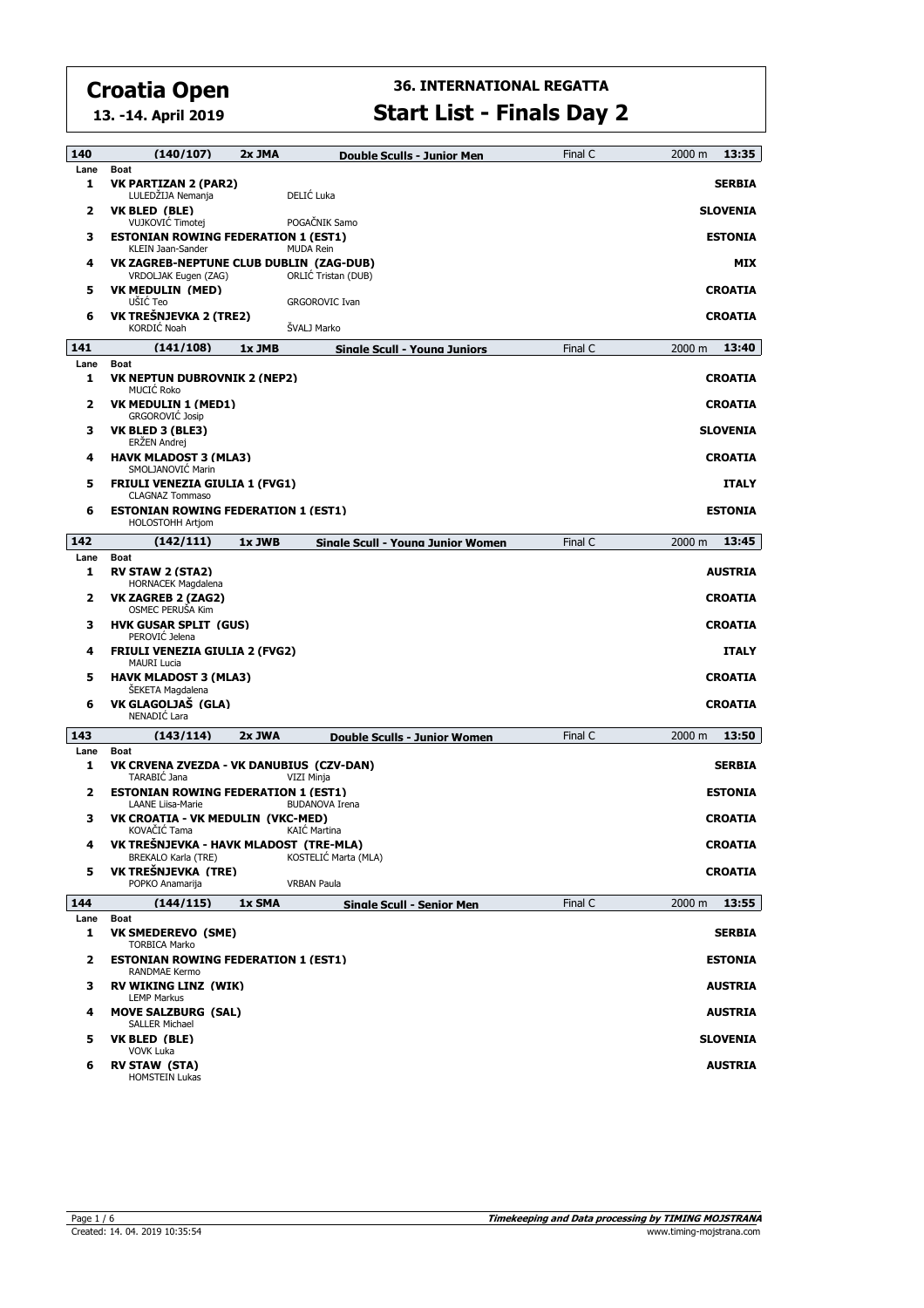**Lane Boat**

# **36. INTERNATIONAL REGATTA**

|      | 13. -14. April 2019                                                    |        | <b>Start List - Finals Day 2</b>    |         |                 |  |  |  |  |
|------|------------------------------------------------------------------------|--------|-------------------------------------|---------|-----------------|--|--|--|--|
| 140  | (140/107)                                                              | 2x JMA | <b>Double Sculls - Junior Men</b>   | Final C | 13:35<br>2000 m |  |  |  |  |
| Lane | Boat                                                                   |        |                                     |         |                 |  |  |  |  |
| 1    | <b>VK PARTIZAN 2 (PAR2)</b><br>LULEDŽIJA Nemanja                       |        | DELIĆ Luka                          |         | <b>SERBIA</b>   |  |  |  |  |
| 2    | VK BLED (BLE)<br>VUJKOVIĆ Timotej                                      |        | POGAČNIK Samo                       |         | <b>SLOVENIA</b> |  |  |  |  |
| 3    | <b>ESTONIAN ROWING FEDERATION 1 (EST1)</b><br>KLEIN Jaan-Sander        |        | <b>MUDA Rein</b>                    |         | <b>ESTONIA</b>  |  |  |  |  |
| 4    | VK ZAGREB-NEPTUNE CLUB DUBLIN (ZAG-DUB)<br>VRDOLJAK Eugen (ZAG)        |        | ORLIC Tristan (DUB)                 |         | <b>MIX</b>      |  |  |  |  |
| 5    | <b>VK MEDULIN (MED)</b><br>UŠIĆ Teo                                    |        | <b>GRGOROVIC Ivan</b>               |         | <b>CROATIA</b>  |  |  |  |  |
| 6    | VK TREŠNJEVKA 2 (TRE2)<br>KORDIĆ Noah                                  |        | ŠVALJ Marko                         |         | <b>CROATIA</b>  |  |  |  |  |
| 141  | (141/108)                                                              | 1x JMB | <b>Single Scull - Young Juniors</b> | Final C | 13:40<br>2000 m |  |  |  |  |
| Lane | <b>Boat</b>                                                            |        |                                     |         |                 |  |  |  |  |
| 1    | <b>VK NEPTUN DUBROVNIK 2 (NEP2)</b><br><b>MUCIC Roko</b>               |        |                                     |         | <b>CROATIA</b>  |  |  |  |  |
| 2    | <b>VK MEDULIN 1 (MED1)</b><br><b>GRGOROVIC Josip</b>                   |        |                                     |         | <b>CROATIA</b>  |  |  |  |  |
| з    | VK BLED 3 (BLE3)<br>ERŽEN Andrej                                       |        |                                     |         | <b>SLOVENIA</b> |  |  |  |  |
| 4    | <b>HAVK MLADOST 3 (MLA3)</b><br>SMOLJANOVIC Marin                      |        |                                     |         | <b>CROATIA</b>  |  |  |  |  |
| 5    | <b>FRIULI VENEZIA GIULIA 1 (FVG1)</b><br><b>CLAGNAZ Tommaso</b>        |        |                                     |         | <b>ITALY</b>    |  |  |  |  |
| 6    | <b>ESTONIAN ROWING FEDERATION 1 (EST1)</b><br>HOLOSTOHH Artjom         |        |                                     |         | <b>ESTONIA</b>  |  |  |  |  |
| 142  | (142/111)                                                              | 1x JWB | Sinale Scull - Young Junior Women   | Final C | 13:45<br>2000 m |  |  |  |  |
| Lane | <b>Boat</b>                                                            |        |                                     |         |                 |  |  |  |  |
| 1    | <b>RV STAW 2 (STA2)</b><br><b>HORNACEK Magdalena</b>                   |        |                                     |         | <b>AUSTRIA</b>  |  |  |  |  |
| 2    | VK ZAGREB 2 (ZAG2)<br>OSMEC PERUŠA Kim                                 |        |                                     |         | <b>CROATIA</b>  |  |  |  |  |
| з    | <b>HVK GUSAR SPLIT (GUS)</b><br>PEROVIĆ Jelena                         |        |                                     |         | <b>CROATIA</b>  |  |  |  |  |
| 4    | <b>FRIULI VENEZIA GIULIA 2 (FVG2)</b><br><b>MAURI Lucia</b>            |        |                                     |         | <b>ITALY</b>    |  |  |  |  |
| 5    | <b>HAVK MLADOST 3 (MLA3)</b><br><b>SEKETA Magdalena</b>                |        |                                     |         | <b>CROATIA</b>  |  |  |  |  |
| 6    | VK GLAGOLJAŠ (GLA)<br>NENADIĆ Lara                                     |        |                                     |         | <b>CROATIA</b>  |  |  |  |  |
| 143  | (143/114)                                                              | 2x JWA | <b>Double Sculls - Junior Women</b> | Final C | 13:50<br>2000 m |  |  |  |  |
| Lane | <b>Boat</b>                                                            |        |                                     |         |                 |  |  |  |  |
| 1    | VK CRVENA ZVEZDA - VK DANUBIUS (CZV-DAN)<br>TARABIC Jana               |        | VIZI Minja                          |         | <b>SERBIA</b>   |  |  |  |  |
| 2    | <b>ESTONIAN ROWING FEDERATION 1 (EST1)</b><br><b>LAANE Liisa-Marie</b> |        | <b>BUDANOVA Irena</b>               |         | <b>ESTONIA</b>  |  |  |  |  |

**3 VK CROATIA - VK MEDULIN (VKC-MED) CROATIA**

**4 VK TREŠNJEVKA - HAVK MLADOST (TRE-MLA) CROATIA**

**5 VK TREŠNJEVKA (TRE) CROATIA**

**1 VK SMEDEREVO (SME) SERBIA**

**2 ESTONIAN ROWING FEDERATION 1 (EST1) ESTONIA**

LEMP Markus **3 RV WIKING LINZ (WIK) AUSTRIA** SALLER Michael **4 MOVE SALZBURG (SAL) AUSTRIA** VOVK Luka **5 VK BLED (BLE) SLOVENIA 6 RV STAW (STA) AUSTRIA**

**144 (144/115) 1x SMA Single Scull - Senior Men** Final C **13:55**

KOVAČIĆ Tama KAIĆ Martina

POPKO Anamarija **VRBAN Paula** 

BREKALO Karla (TRE) KOSTELIĆ Marta (MLA)

HOMSTEIN Lukas

TORBICA Marko

RANDMAE Kermo

2000 m 13:55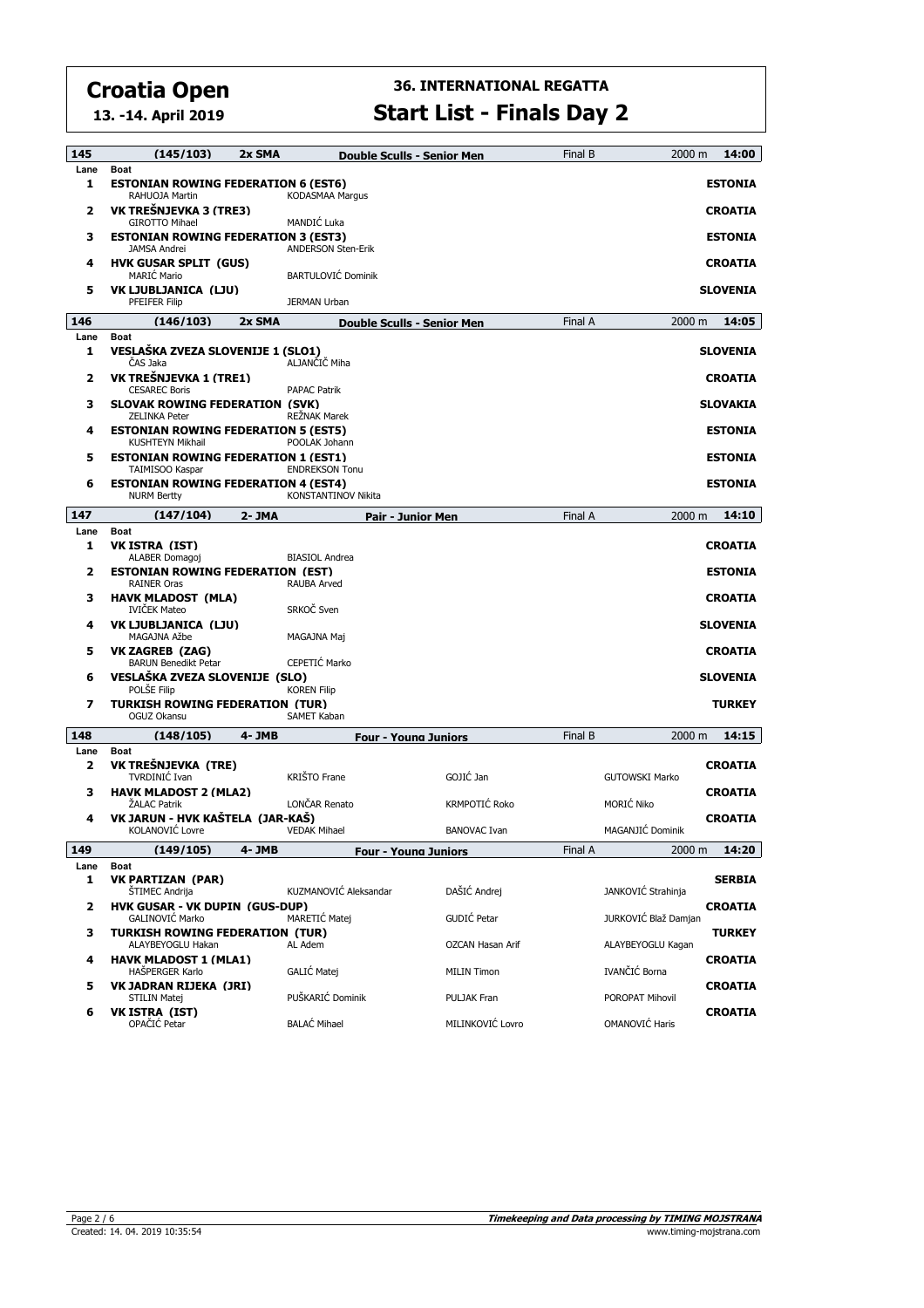**13. -14. April 2019**

| 145       | (145/103)                                                                    | 2x SMA    |                                     | <b>Double Sculls - Senior Men</b> | Final B | 2000 m                | 14:00           |
|-----------|------------------------------------------------------------------------------|-----------|-------------------------------------|-----------------------------------|---------|-----------------------|-----------------|
| Lane<br>1 | Boat<br><b>ESTONIAN ROWING FEDERATION 6 (EST6)</b><br>RAHUOJA Martin         |           | <b>KODASMAA Margus</b>              |                                   |         |                       | <b>ESTONIA</b>  |
| 2         | VK TREŠNJEVKA 3 (TRE3)<br><b>GIROTTO Mihael</b>                              |           | MANDIĆ Luka                         |                                   |         |                       | <b>CROATIA</b>  |
| з         | <b>ESTONIAN ROWING FEDERATION 3 (EST3)</b><br><b>JAMSA Andrei</b>            |           | <b>ANDERSON Sten-Erik</b>           |                                   |         |                       | <b>ESTONIA</b>  |
| 4         | <b>HVK GUSAR SPLIT (GUS)</b><br><b>MARIĆ Mario</b>                           |           | <b>BARTULOVIĆ Dominik</b>           |                                   |         |                       | <b>CROATIA</b>  |
| 5         | VK LJUBLJANICA (LJU)<br><b>PFEIFER Filip</b>                                 |           | <b>JERMAN Urban</b>                 |                                   |         |                       | <b>SLOVENIA</b> |
| 146       | (146/103)                                                                    | 2x SMA    |                                     | <b>Double Sculls - Senior Men</b> | Final A | 2000 m                | 14:05           |
| Lane<br>1 | Boat<br>VESLAŠKA ZVEZA SLOVENIJE 1 (SLO1)<br>ČAS Jaka                        |           | ALJANČIČ Miha                       |                                   |         |                       | <b>SLOVENIA</b> |
| 2         | VK TREŠNJEVKA 1 (TRE1)<br><b>CESAREC Boris</b>                               |           | <b>PAPAC Patrik</b>                 |                                   |         |                       | <b>CROATIA</b>  |
| з         | <b>SLOVAK ROWING FEDERATION (SVK)</b><br><b>ZELINKA Peter</b>                |           | <b>REŻNAK Marek</b>                 |                                   |         |                       | <b>SLOVAKIA</b> |
| 4         | <b>ESTONIAN ROWING FEDERATION 5 (EST5)</b><br><b>KUSHTEYN Mikhail</b>        |           | POOLAK Johann                       |                                   |         |                       | <b>ESTONIA</b>  |
| 5         | <b>ESTONIAN ROWING FEDERATION 1 (EST1)</b><br>TAIMISOO Kaspar                |           | <b>ENDREKSON Tonu</b>               |                                   |         |                       | <b>ESTONIA</b>  |
| 6         | <b>ESTONIAN ROWING FEDERATION 4 (EST4)</b><br><b>NURM Bertty</b>             |           | KONSTANTINOV Nikita                 |                                   |         |                       | <b>ESTONIA</b>  |
| 147       | (147/104)                                                                    | $2 - JMA$ |                                     | <b>Pair - Junior Men</b>          | Final A | 2000 m                | 14:10           |
| Lane<br>1 | <b>Boat</b><br><b>VK ISTRA (IST)</b>                                         |           |                                     |                                   |         |                       | <b>CROATIA</b>  |
| 2         | ALABER Domagoj<br><b>ESTONIAN ROWING FEDERATION (EST)</b>                    |           | <b>BIASIOL Andrea</b>               |                                   |         |                       | <b>ESTONIA</b>  |
| з         | <b>RAINER Oras</b><br><b>HAVK MLADOST (MLA)</b>                              |           | <b>RAUBA Arved</b>                  |                                   |         |                       | <b>CROATIA</b>  |
| 4         | <b>IVIČEK Mateo</b><br>VK LJUBLJANICA (LJU)                                  |           | SRKOČ Sven                          |                                   |         |                       | <b>SLOVENIA</b> |
| 5         | MAGAJNA Ažbe<br>VK ZAGREB (ZAG)                                              |           | MAGAJNA Maj                         |                                   |         |                       | <b>CROATIA</b>  |
| 6         | <b>BARUN Benedikt Petar</b><br>VESLAŠKA ZVEZA SLOVENIJE (SLO)<br>POLSE Filip |           | CEPETIC Marko<br><b>KOREN Filip</b> |                                   |         |                       | <b>SLOVENIA</b> |
| 7         | <b>TURKISH ROWING FEDERATION (TUR)</b><br>OGUZ Okansu                        |           | <b>SAMET Kaban</b>                  |                                   |         |                       | <b>TURKEY</b>   |
| 148       | (148/105)                                                                    | 4- JMB    |                                     | <b>Four - Young Juniors</b>       | Final B | 2000 m                | 14:15           |
| Lane      | Boat                                                                         |           |                                     |                                   |         |                       |                 |
| 2         | VK TREŠNJEVKA (TRE)<br><b>TVRDINIĆ Ivan</b>                                  |           | KRIŠTO Frane                        | GOJIĆ Jan                         |         | <b>GUTOWSKI Marko</b> | <b>CROATIA</b>  |
| з         | <b>HAVK MLADOST 2 (MLA2)</b><br><b>ŽALAC Patrik</b>                          |           | LONČAR Renato                       | KRMPOTIĆ Roko                     |         | <b>MORIĆ Niko</b>     | <b>CROATIA</b>  |
| 4         | VK JARUN - HVK KAŠTELA (JAR-KAŠ)<br>KOLANOVIĆ Lovre                          |           | <b>VEDAK Mihael</b>                 | <b>BANOVAC Ivan</b>               |         | MAGANJIĆ Dominik      | <b>CROATIA</b>  |
| 149       | (149/105)                                                                    | 4- JMB    |                                     | <b>Four - Young Juniors</b>       | Final A | 2000 m                | 14:20           |
| Lane<br>1 | <b>Boat</b><br><b>VK PARTIZAN (PAR)</b>                                      |           |                                     |                                   |         |                       | <b>SERBIA</b>   |
|           | <b>STIMEC Andrija</b>                                                        |           | KUZMANOVIĆ Aleksandar               | DAŠIĆ Andrej                      |         | JANKOVIĆ Strahinja    |                 |
| 2         | <b>HVK GUSAR - VK DUPIN (GUS-DUP)</b><br><b>GALINOVIC Marko</b>              |           | MARETIĆ Matej                       | GUDIĆ Petar                       |         | JURKOVIĆ Blaž Damjan  | <b>CROATIA</b>  |
| з         | <b>TURKISH ROWING FEDERATION (TUR)</b><br>ALAYBEYOGLU Hakan                  |           | AL Adem                             | OZCAN Hasan Arif                  |         | ALAYBEYOGLU Kagan     | <b>TURKEY</b>   |
| 4         | <b>HAVK MLADOST 1 (MLA1)</b><br><b>HAŠPERGER Karlo</b>                       |           | GALIĆ Matej                         | <b>MILIN Timon</b>                |         | IVANČIĆ Borna         | <b>CROATIA</b>  |
| 5         | VK JADRAN RIJEKA (JRI)<br>STILIN Matej                                       |           | PUŠKARIĆ Dominik                    | PULJAK Fran                       |         | POROPAT Mihovil       | <b>CROATIA</b>  |
| 6         | VK ISTRA (IST)<br>OPAČIĆ Petar                                               |           | <b>BALAĆ Mihael</b>                 | MILINKOVIĆ Lovro                  |         | OMANOVIĆ Haris        | <b>CROATIA</b>  |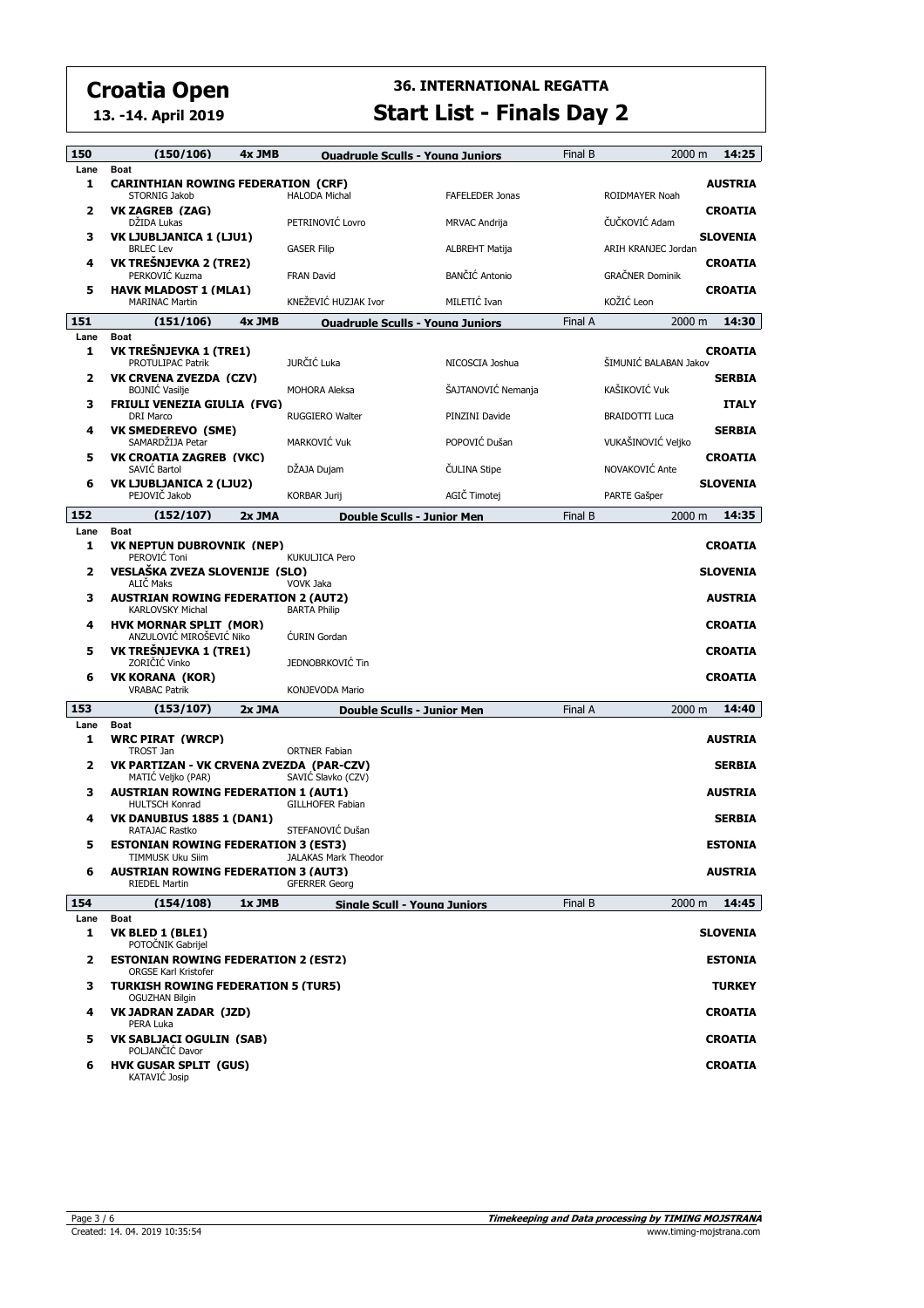**13. -14. April 2019**

| 150       | (150/106)                                                                 | 4x JMB | <b>Ouadruple Sculls - Young Juniors</b> |                        | Final B | 2000 m                 | 14:25           |
|-----------|---------------------------------------------------------------------------|--------|-----------------------------------------|------------------------|---------|------------------------|-----------------|
| Lane      | <b>Boat</b>                                                               |        |                                         |                        |         |                        |                 |
| 1         | <b>CARINTHIAN ROWING FEDERATION (CRF)</b><br>STORNIG Jakob                |        | <b>HALODA Michal</b>                    | <b>FAFELEDER Jonas</b> |         | ROIDMAYER Noah         | <b>AUSTRIA</b>  |
| 2         | VK ZAGREB (ZAG)<br>DŽIDA Lukas                                            |        | PETRINOVIĆ Lovro                        | <b>MRVAC Andrija</b>   |         | ČUČKOVIĆ Adam          | <b>CROATIA</b>  |
| 3         | VK LJUBLJANICA 1 (LJU1)<br><b>BRLEC Lev</b>                               |        | <b>GASER Filip</b>                      | <b>ALBREHT Matija</b>  |         | ARIH KRANJEC Jordan    | <b>SLOVENIA</b> |
| 4         | VK TREŠNJEVKA 2 (TRE2)<br>PERKOVIĆ Kuzma                                  |        | <b>FRAN David</b>                       | <b>BANČIĆ Antonio</b>  |         | <b>GRAČNER Dominik</b> | <b>CROATIA</b>  |
| 5         | <b>HAVK MLADOST 1 (MLA1)</b><br><b>MARINAC Martin</b>                     |        | KNEŽEVIĆ HUZJAK Ivor                    | MILETIĆ Ivan           |         | KOŽIĆ Leon             | <b>CROATIA</b>  |
| 151       | (151/106)                                                                 | 4x JMB | <b>Ouadruple Sculls - Young Juniors</b> |                        | Final A | 2000 m                 | 14:30           |
| Lane      | Boat                                                                      |        |                                         |                        |         |                        |                 |
| 1         | VK TREŠNJEVKA 1 (TRE1)<br>PROTULIPAC Patrik                               |        | JURČIĆ Luka                             | NICOSCIA Joshua        |         | ŠIMUNIĆ BALABAN Jakov  | <b>CROATIA</b>  |
| 2         | <b>VK CRVENA ZVEZDA (CZV)</b><br><b>BOJNIC Vasilje</b>                    |        | <b>MOHORA Aleksa</b>                    | ŠAJTANOVIĆ Nemanja     |         | KAŠIKOVIĆ Vuk          | <b>SERBIA</b>   |
| 3         | <b>FRIULI VENEZIA GIULIA (FVG)</b><br><b>DRI Marco</b>                    |        | <b>RUGGIERO Walter</b>                  | PINZINI Davide         |         | <b>BRAIDOTTI Luca</b>  | <b>ITALY</b>    |
| 4         | <b>VK SMEDEREVO (SME)</b><br>SAMARDŽIJA Petar                             |        | MARKOVIĆ Vuk                            | POPOVIĆ Dušan          |         | VUKAŠINOVIĆ Veljko     | <b>SERBIA</b>   |
| 5         | <b>VK CROATIA ZAGREB (VKC)</b>                                            |        |                                         |                        |         |                        | <b>CROATIA</b>  |
| 6         | SAVIC Bartol<br><b>VK LJUBLJANICA 2 (LJU2)</b>                            |        | DŽAJA Dujam                             | ČULINA Stipe           |         | NOVAKOVIĆ Ante         | <b>SLOVENIA</b> |
|           | PEJOVIČ Jakob                                                             |        | <b>KORBAR Jurij</b>                     | AGIČ Timotej           |         | PARTE Gašper           |                 |
| 152       | (152/107)                                                                 | 2x JMA | <b>Double Sculls - Junior Men</b>       |                        | Final B | 2000 m                 | 14:35           |
| Lane<br>1 | <b>Boat</b><br><b>VK NEPTUN DUBROVNIK (NEP)</b><br>PEROVIĆ Toni           |        | <b>KUKULJICA Pero</b>                   |                        |         |                        | <b>CROATIA</b>  |
| 2         | VESLAŠKA ZVEZA SLOVENIJE (SLO)<br>ALIČ Maks                               |        | VOVK Jaka                               |                        |         |                        | <b>SLOVENIA</b> |
| 3         | <b>AUSTRIAN ROWING FEDERATION 2 (AUT2)</b><br>KARLOVSKY Michal            |        | <b>BARTA Philip</b>                     |                        |         |                        | <b>AUSTRIA</b>  |
| 4         | <b>HVK MORNAR SPLIT (MOR)</b><br>ANZULOVIĆ MIROŠEVIĆ Niko                 |        |                                         |                        |         |                        | <b>CROATIA</b>  |
| 5         | VK TREŠNJEVKA 1 (TRE1)                                                    |        | <b>CURIN</b> Gordan                     |                        |         |                        | <b>CROATIA</b>  |
| 6         | ZORIČIĆ Vinko<br><b>VK KORANA (KOR)</b>                                   |        | JEDNOBRKOVIĆ Tin                        |                        |         |                        | <b>CROATIA</b>  |
|           | <b>VRABAC Patrik</b>                                                      |        | KONJEVODA Mario                         |                        |         |                        |                 |
| 153       | (153/107)                                                                 | 2x JMA | Double Sculls - Junior Men              |                        | Final A | 2000 m                 | 14:40           |
| Lane<br>1 | <b>Boat</b><br><b>WRC PIRAT (WRCP)</b><br><b>TROST Jan</b>                |        | <b>ORTNER Fabian</b>                    |                        |         |                        | <b>AUSTRIA</b>  |
| 2         | VK PARTIZAN - VK CRVENA ZVEZDA (PAR-CZV)<br>MATIC Veljko (PAR)            |        | SAVIĆ Slavko (CZV)                      |                        |         |                        | <b>SERBIA</b>   |
| з         | <b>AUSTRIAN ROWING FEDERATION 1 (AUT1)</b><br><b>HULTSCH Konrad</b>       |        | <b>GILLHOFER Fabian</b>                 |                        |         |                        | <b>AUSTRIA</b>  |
| 4         | <b>VK DANUBIUS 1885 1 (DAN1)</b><br>RATAJAC Rastko                        |        | STEFANOVIĆ Dušan                        |                        |         |                        | <b>SERBIA</b>   |
| 5         | <b>ESTONIAN ROWING FEDERATION 3 (EST3)</b><br>TIMMUSK Uku Siim            |        | JALAKAS Mark Theodor                    |                        |         |                        | <b>ESTONIA</b>  |
| 6         | <b>AUSTRIAN ROWING FEDERATION 3 (AUT3)</b><br><b>RIEDEL Martin</b>        |        | <b>GFERRER Georg</b>                    |                        |         |                        | <b>AUSTRIA</b>  |
| 154       | (154/108)                                                                 | 1x JMB | <b>Single Scull - Young Juniors</b>     |                        | Final B | 2000 m                 | 14:45           |
| Lane      | Boat                                                                      |        |                                         |                        |         |                        |                 |
| 1         | VK BLED 1 (BLE1)<br>POTOČNIK Gabrijel                                     |        |                                         |                        |         |                        | <b>SLOVENIA</b> |
| 2         | <b>ESTONIAN ROWING FEDERATION 2 (EST2)</b><br><b>ORGSE Karl Kristofer</b> |        |                                         |                        |         |                        | <b>ESTONIA</b>  |
| з         | <b>TURKISH ROWING FEDERATION 5 (TUR5)</b><br><b>OGUZHAN Bilgin</b>        |        |                                         |                        |         |                        | <b>TURKEY</b>   |
| 4         | VK JADRAN ZADAR (JZD)<br>PERA Luka                                        |        |                                         |                        |         |                        | <b>CROATIA</b>  |
| 5         | <b>VK SABLJACI OGULIN (SAB)</b><br>POLJANCIC Davor                        |        |                                         |                        |         |                        | <b>CROATIA</b>  |
| 6         | <b>HVK GUSAR SPLIT (GUS)</b><br><b>KATAVIC Josip</b>                      |        |                                         |                        |         |                        | <b>CROATIA</b>  |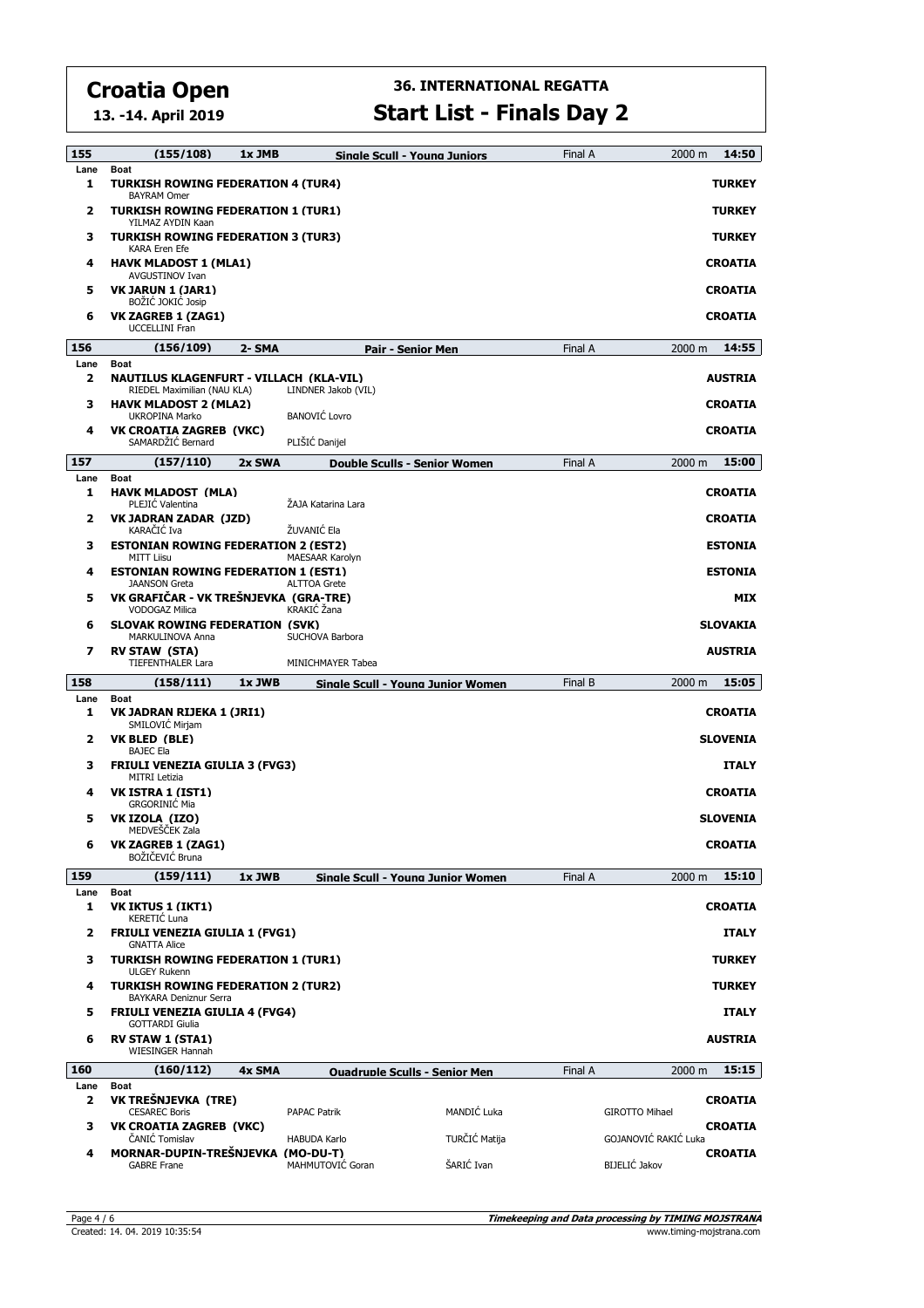**13. -14. April 2019**

## **36. INTERNATIONAL REGATTA**

**Start List - Finals Day 2**

| 155       | (155/108)                                                                               | 1x JMB |                        | <b>Sinale Scull - Youna Juniors</b>  | Final A | 2000 m                | 14:50           |
|-----------|-----------------------------------------------------------------------------------------|--------|------------------------|--------------------------------------|---------|-----------------------|-----------------|
| Lane<br>1 | Boat<br><b>TURKISH ROWING FEDERATION 4 (TUR4)</b><br><b>BAYRAM Omer</b>                 |        |                        |                                      |         |                       | <b>TURKEY</b>   |
| 2         | <b>TURKISH ROWING FEDERATION 1 (TUR1)</b><br>YILMAZ AYDIN Kaan                          |        |                        |                                      |         |                       | <b>TURKEY</b>   |
| з         | <b>TURKISH ROWING FEDERATION 3 (TUR3)</b><br><b>KARA Eren Efe</b>                       |        |                        |                                      |         |                       | <b>TURKEY</b>   |
| 4         | <b>HAVK MLADOST 1 (MLA1)</b><br>AVGUSTINOV Ivan                                         |        |                        |                                      |         |                       | <b>CROATIA</b>  |
| 5         | VK JARUN 1 (JAR1)<br>BOŻIĆ JOKIĆ Josip                                                  |        |                        |                                      |         |                       | <b>CROATIA</b>  |
| 6         | VK ZAGREB 1 (ZAG1)<br><b>UCCELLINI Fran</b>                                             |        |                        |                                      |         |                       | <b>CROATIA</b>  |
| 156       | (156/109)                                                                               | 2- SMA |                        | <b>Pair - Senior Men</b>             | Final A | 2000 m                | 14:55           |
| Lane<br>2 | <b>Boat</b><br><b>NAUTILUS KLAGENFURT - VILLACH (KLA-VIL)</b>                           |        |                        |                                      |         |                       | <b>AUSTRIA</b>  |
| з         | RIEDEL Maximilian (NAU KLA)<br><b>HAVK MLADOST 2 (MLA2)</b>                             |        | LINDNER Jakob (VIL)    |                                      |         |                       | <b>CROATIA</b>  |
|           | <b>UKROPINA Marko</b>                                                                   |        | <b>BANOVIĆ Lovro</b>   |                                      |         |                       |                 |
| 4         | VK CROATIA ZAGREB (VKC)<br>SAMARDŽIĆ Bernard                                            |        | PLIŠIĆ Danijel         |                                      |         |                       | <b>CROATIA</b>  |
| 157       | (157/110)                                                                               | 2x SWA |                        | <b>Double Sculls - Senior Women</b>  | Final A | 2000 m                | 15:00           |
| Lane<br>1 | Boat<br><b>HAVK MLADOST (MLA)</b><br>PLEJIĆ Valentina                                   |        | ŻAJA Katarina Lara     |                                      |         |                       | <b>CROATIA</b>  |
| 2         | VK JADRAN ZADAR (JZD)<br>KARAČIĆ Iva                                                    |        | ŽUVANIĆ Ela            |                                      |         |                       | <b>CROATIA</b>  |
| з         | <b>ESTONIAN ROWING FEDERATION 2 (EST2)</b><br>MITT Liisu                                |        | <b>MAESAAR Karolvn</b> |                                      |         |                       | <b>ESTONIA</b>  |
| 4         | <b>ESTONIAN ROWING FEDERATION 1 (EST1)</b><br><b>JAANSON Greta</b>                      |        | <b>ALTTOA Grete</b>    |                                      |         |                       | <b>ESTONIA</b>  |
| 5         | VK GRAFIČAR - VK TREŠNJEVKA (GRA-TRE)<br><b>VODOGAZ Milica</b>                          |        | KRAKIĆ Žana            |                                      |         |                       | <b>MIX</b>      |
| 6         | <b>SLOVAK ROWING FEDERATION (SVK)</b><br>MARKULINOVA Anna                               |        | SUCHOVA Barbora        |                                      |         |                       | <b>SLOVAKIA</b> |
| 7         | <b>RV STAW (STA)</b><br><b>TIEFENTHALER Lara</b>                                        |        | MINICHMAYER Tabea      |                                      |         |                       | <b>AUSTRIA</b>  |
| 158       | (158/111)                                                                               | 1x JWB |                        | Sinale Scull - Youna Junior Women    | Final B | 2000 m                | 15:05           |
| Lane<br>1 | <b>Boat</b><br>VK JADRAN RIJEKA 1 (JRI1)                                                |        |                        |                                      |         |                       | <b>CROATIA</b>  |
| 2         | SMILOVIC Mirjam<br>VK BLED (BLE)                                                        |        |                        |                                      |         |                       | <b>SLOVENIA</b> |
| з         | <b>BAJEC Ela</b><br><b>FRIULI VENEZIA GIULIA 3 (FVG3)</b>                               |        |                        |                                      |         |                       | <b>ITALY</b>    |
| 4         | <b>MITRI Letizia</b><br>VK ISTRA 1 (IST1)<br><b>GRGORINIĆ Mia</b>                       |        |                        |                                      |         |                       | <b>CROATIA</b>  |
| 5         | VK IZOLA (IZO)<br>MEDVESCEK Zala                                                        |        |                        |                                      |         |                       | <b>SLOVENIA</b> |
| 6         | <b>VK ZAGREB 1 (ZAG1)</b><br>BOŽIČEVIĆ Bruna                                            |        |                        |                                      |         |                       | <b>CROATIA</b>  |
| 159       | (159/111)                                                                               | 1x JWB |                        | Single Scull - Young Junior Women    | Final A | 2000 m                | 15:10           |
| Lane<br>1 | Boat<br><b>VK IKTUS 1 (IKT1)</b>                                                        |        |                        |                                      |         |                       | <b>CROATIA</b>  |
| 2         | KERETIĆ Luna<br><b>FRIULI VENEZIA GIULIA 1 (FVG1)</b>                                   |        |                        |                                      |         |                       | <b>ITALY</b>    |
| з         | <b>GNATTA Alice</b><br><b>TURKISH ROWING FEDERATION 1 (TUR1)</b><br><b>ULGEY Rukenn</b> |        |                        |                                      |         |                       | <b>TURKEY</b>   |
| 4         | <b>TURKISH ROWING FEDERATION 2 (TUR2)</b><br><b>BAYKARA Deniznur Serra</b>              |        |                        |                                      |         |                       | <b>TURKEY</b>   |
| 5         | <b>FRIULI VENEZIA GIULIA 4 (FVG4)</b><br><b>GOTTARDI Giulia</b>                         |        |                        |                                      |         |                       | <b>ITALY</b>    |
| 6         | <b>RV STAW 1 (STA1)</b><br><b>WIESINGER Hannah</b>                                      |        |                        |                                      |         |                       | <b>AUSTRIA</b>  |
| 160       | (160/112)                                                                               | 4x SMA |                        | <b>Ouadruple Sculls - Senior Men</b> | Final A | 2000 m                | 15:15           |
| Lane      | Boat                                                                                    |        |                        |                                      |         |                       |                 |
| 2         | VK TREŠNJEVKA (TRE)<br><b>CESAREC Boris</b>                                             |        | <b>PAPAC Patrik</b>    | <b>MANDIĆ Luka</b>                   |         | <b>GIROTTO Mihael</b> | <b>CROATIA</b>  |
| з         | VK CROATIA ZAGREB (VKC)<br>ČANIĆ Tomislav                                               |        | <b>HABUDA Karlo</b>    | TURČIĆ Matija                        |         | GOJANOVIĆ RAKIĆ Luka  | <b>CROATIA</b>  |
| 4         | MORNAR-DUPIN-TREŠNJEVKA (MO-DU-T)<br><b>GABRE Frane</b>                                 |        | MAHMUTOVIĆ Goran       | ŠARIĆ Ivan                           |         | BIJELIĆ Jakov         | <b>CROATIA</b>  |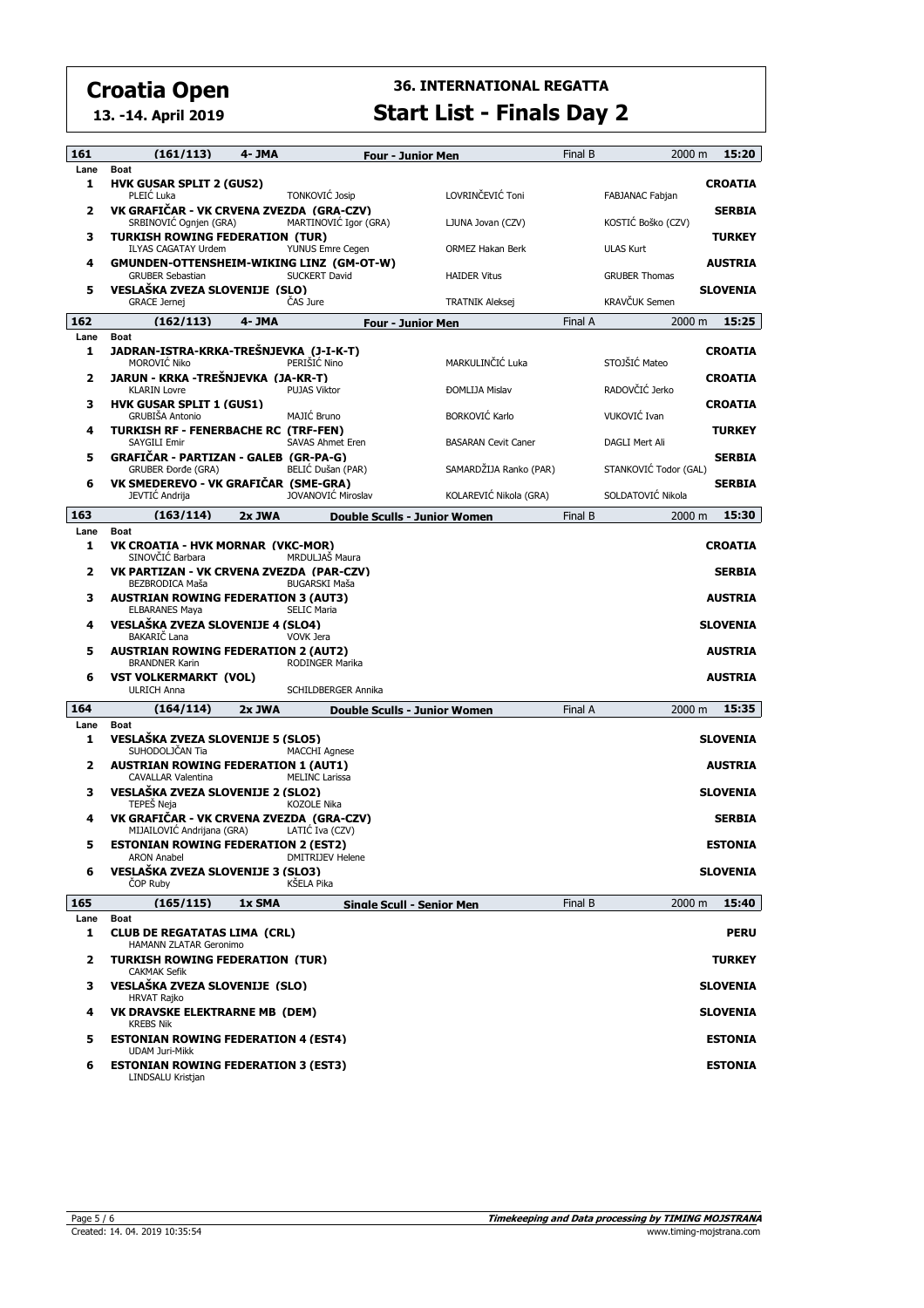**13. -14. April 2019**

| 161                     | (161/113)                                                                  | 4- JMA |                                       | <b>Four - Junior Men</b>                           | Final B | 2000 m                         | 15:20           |
|-------------------------|----------------------------------------------------------------------------|--------|---------------------------------------|----------------------------------------------------|---------|--------------------------------|-----------------|
| Lane<br>1               | <b>Boat</b><br><b>HVK GUSAR SPLIT 2 (GUS2)</b>                             |        |                                       |                                                    |         |                                | <b>CROATIA</b>  |
| $\overline{\mathbf{2}}$ | PLEIĆ Luka<br>VK GRAFIČAR - VK CRVENA ZVEZDA (GRA-CZV)                     |        | <b>TONKOVIĆ Josip</b>                 | LOVRINČEVIĆ Toni                                   |         | FABJANAC Fabjan                | <b>SERBIA</b>   |
| 3                       | SRBINOVIĆ Ognjen (GRA)<br><b>TURKISH ROWING FEDERATION (TUR)</b>           |        | MARTINOVIĆ Igor (GRA)                 | LJUNA Jovan (CZV)                                  |         | KOSTIĆ Boško (CZV)             | <b>TURKEY</b>   |
| 4                       | <b>ILYAS CAGATAY Urdem</b><br>GMUNDEN-OTTENSHEIM-WIKING LINZ (GM-OT-W)     |        | YUNUS Emre Cegen                      | ORMEZ Hakan Berk                                   |         | <b>ULAS Kurt</b>               | <b>AUSTRIA</b>  |
| 5                       | <b>GRUBER Sebastian</b><br>VESLAŠKA ZVEZA SLOVENIJE (SLO)                  |        | SUCKERT David                         | <b>HAIDER Vitus</b>                                |         | <b>GRUBER Thomas</b>           | <b>SLOVENIA</b> |
| 162                     | <b>GRACE Jernej</b><br>(162/113)                                           | 4- JMA | ČAS Jure                              | <b>TRATNIK Aleksej</b><br><b>Four - Junior Men</b> | Final A | <b>KRAVČUK Semen</b><br>2000 m | 15:25           |
| Lane                    | <b>Boat</b>                                                                |        |                                       |                                                    |         |                                |                 |
| 1                       | JADRAN-ISTRA-KRKA-TREŠNJEVKA (J-I-K-T)<br>MOROVIĆ Niko                     |        | PERIŠIĆ Nino                          | MARKULINČIĆ Luka                                   |         | STOJŠIĆ Mateo                  | <b>CROATIA</b>  |
| 2                       | JARUN - KRKA -TREŠNJEVKA (JA-KR-T)<br><b>KLARIN Lovre</b>                  |        | <b>PUJAS Viktor</b>                   | <b>ĐOMLIJA Mislav</b>                              |         | RADOVČIĆ Jerko                 | <b>CROATIA</b>  |
| 3                       | <b>HVK GUSAR SPLIT 1 (GUS1)</b><br><b>GRUBIŠA Antonio</b>                  |        | MAJIĆ Bruno                           | <b>BORKOVIĆ Karlo</b>                              |         | VUKOVIĆ Ivan                   | <b>CROATIA</b>  |
| 4                       | <b>TURKISH RF - FENERBACHE RC (TRF-FEN)</b><br>SAYGILI Emir                |        | <b>SAVAS Ahmet Eren</b>               | <b>BASARAN Cevit Caner</b>                         |         | DAGLI Mert Ali                 | <b>TURKEY</b>   |
| 5                       | GRAFIČAR - PARTIZAN - GALEB (GR-PA-G)<br><b>GRUBER Dorde (GRA)</b>         |        | BELIC Dušan (PAR)                     | SAMARDŽIJA Ranko (PAR)                             |         | STANKOVIĆ Todor (GAL)          | <b>SERBIA</b>   |
| 6                       | VK SMEDEREVO - VK GRAFIČAR (SME-GRA)<br>JEVTIĆ Andrija                     |        | <b>JOVANOVIĆ Miroslav</b>             | KOLAREVIĆ Nikola (GRA)                             |         | SOLDATOVIĆ Nikola              | <b>SERBIA</b>   |
| 163                     | (163/114)                                                                  | 2x JWA |                                       | <b>Double Sculls - Junior Women</b>                | Final B | 2000 m                         | 15:30           |
| Lane                    | <b>Boat</b>                                                                |        |                                       |                                                    |         |                                |                 |
| 1                       | VK CROATIA - HVK MORNAR (VKC-MOR)<br>SINOVČIĆ Barbara                      |        | MRDULJAŠ Maura                        |                                                    |         |                                | <b>CROATIA</b>  |
| $\overline{\mathbf{2}}$ | VK PARTIZAN - VK CRVENA ZVEZDA (PAR-CZV)<br>BEZBRODICA Maša                |        | <b>BUGARSKI Maša</b>                  |                                                    |         |                                | <b>SERBIA</b>   |
| з                       | <b>AUSTRIAN ROWING FEDERATION 3 (AUT3)</b><br><b>ELBARANES Maya</b>        |        | <b>SELIC Maria</b>                    |                                                    |         |                                | <b>AUSTRIA</b>  |
| 4                       | VESLAŠKA ZVEZA SLOVENIJE 4 (SLO4)<br>BAKARIČ Lana                          |        | <b>VOVK Jera</b>                      |                                                    |         |                                | <b>SLOVENIA</b> |
| 5                       | <b>AUSTRIAN ROWING FEDERATION 2 (AUT2)</b><br><b>BRANDNER Karin</b>        |        | RODINGER Marika                       |                                                    |         |                                | <b>AUSTRIA</b>  |
| 6                       | <b>VST VOLKERMARKT (VOL)</b><br><b>ULRICH Anna</b>                         |        | SCHILDBERGER Annika                   |                                                    |         |                                | <b>AUSTRIA</b>  |
| 164                     | (164/114)                                                                  | 2x JWA |                                       | Double Sculls - Junior Women                       | Final A | 2000 m                         | 15:35           |
| Lane<br>1               | <b>Boat</b><br>VESLAŠKA ZVEZA SLOVENIJE 5 (SLO5)                           |        |                                       |                                                    |         |                                | <b>SLOVENIA</b> |
| 2                       | SUHODOLJČAN Tia<br><b>AUSTRIAN ROWING FEDERATION 1 (AUT1)</b>              |        | <b>MACCHI Agnese</b>                  |                                                    |         |                                | <b>AUSTRIA</b>  |
| з                       | CAVALLAR Valentina<br>VESLAŠKA ZVEZA SLOVENIJE 2 (SLO2)                    |        | <b>MELINC Larissa</b>                 |                                                    |         |                                | <b>SLOVENIA</b> |
| 4                       | TEPEŠ Neja<br>VK GRAFIĆAR - VK CRVENA ZVEZDA (GRA-CZV)                     |        | KOZOLE Nika                           |                                                    |         |                                | <b>SERBIA</b>   |
| 5                       | MIJAILOVIC Andrijana (GRA)<br><b>ESTONIAN ROWING FEDERATION 2 (EST2)</b>   |        | LATIC Iva (CZV)                       |                                                    |         |                                | <b>ESTONIA</b>  |
| 6                       | <b>ARON Anabel</b><br>VESLAŠKA ZVEZA SLOVENIJE 3 (SLO3)<br><b>COP Ruby</b> |        | <b>DMITRIJEV Helene</b><br>KŠELA Pika |                                                    |         |                                | <b>SLOVENIA</b> |
| 165                     | (165/115)                                                                  | 1x SMA |                                       | <b>Single Scull - Senior Men</b>                   | Final B | 2000 m                         | 15:40           |
| Lane                    | <b>Boat</b>                                                                |        |                                       |                                                    |         |                                |                 |
| 1                       | <b>CLUB DE REGATATAS LIMA (CRL)</b><br>HAMANN ZLATAR Geronimo              |        |                                       |                                                    |         |                                | <b>PERU</b>     |
| 2                       | <b>TURKISH ROWING FEDERATION (TUR)</b><br><b>CAKMAK Sefik</b>              |        |                                       |                                                    |         |                                | <b>TURKEY</b>   |
| з                       | VESLAŠKA ZVEZA SLOVENIJE (SLO)<br><b>HRVAT Rajko</b>                       |        |                                       |                                                    |         |                                | <b>SLOVENIA</b> |
| 4                       | VK DRAVSKE ELEKTRARNE MB (DEM)<br><b>KREBS Nik</b>                         |        |                                       |                                                    |         |                                | <b>SLOVENIA</b> |
| 5                       | <b>ESTONIAN ROWING FEDERATION 4 (EST4)</b><br><b>UDAM Juri-Mikk</b>        |        |                                       |                                                    |         |                                | <b>ESTONIA</b>  |
| 6                       | <b>ESTONIAN ROWING FEDERATION 3 (EST3)</b><br>LINDSALU Kristjan            |        |                                       |                                                    |         |                                | <b>ESTONIA</b>  |